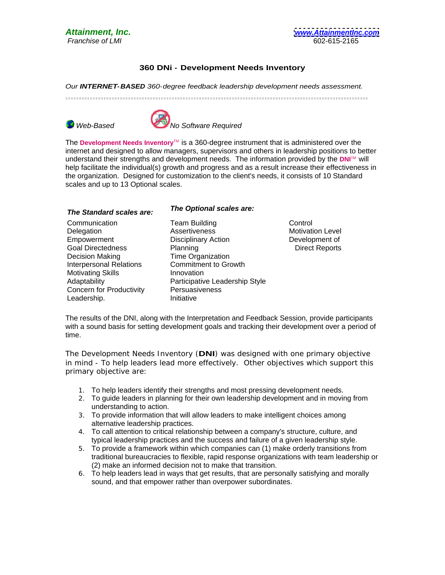## **360 DNi - Development Needs Inventory**

Our **INTERNET-BASED** 360-degree feedback leadership development needs assessment.







The **Development Needs Inventory**TM is a 360-degree instrument that is administered over the internet and designed to allow managers, supervisors and others in leadership positions to better understand their strengths and development needs. The information provided by the **DNI**TM will help facilitate the individual(s) growth and progress and as a result increase their effectiveness in the organization. Designed for customization to the client's needs, it consists of 10 Standard scales and up to 13 Optional scales.

## **The Standard scales are: The Optional scales are:**

- Communication Delegation Assertiveness Motivation Level Empowerment **Empowerment** Disciplinary Action **Empowerment** of Goal Directedness Planning Direct Reports Decision Making Interpersonal Relations Motivating Skills Adaptability **Example 20** Participative Leadership Style Concern for Productivity Leadership. Team Building Assertiveness Disciplinary Action Planning **Example 2018** Direct Reports **Direct Reports** Time Organization Commitment to Growth Innovation Participative Leadership Style Persuasiveness Initiative
	- **Control Control** Motivation Level Development of Direct Reports

The results of the DNI, along with the Interpretation and Feedback Session, provide participants with a sound basis for setting development goals and tracking their development over a period of time.

The Development Needs Inventory (**DNI**) was designed with one primary objective in mind - To help leaders lead more effectively. Other objectives which support this primary objective are:

- 1. To help leaders identify their strengths and most pressing development needs.
- 2. To guide leaders in planning for their own leadership development and in moving from understanding to action.
- 3. To provide information that will allow leaders to make intelligent choices among alternative leadership practices.
- 4. To call attention to critical relationship between a company's structure, culture, and typical leadership practices and the success and failure of a given leadership style.
- 5. To provide a framework within which companies can (1) make orderly transitions from traditional bureaucracies to flexible, rapid response organizations with team leadership or (2) make an informed decision not to make that transition.
- 6. To help leaders lead in ways that get results, that are personally satisfying and morally sound, and that empower rather than overpower subordinates.